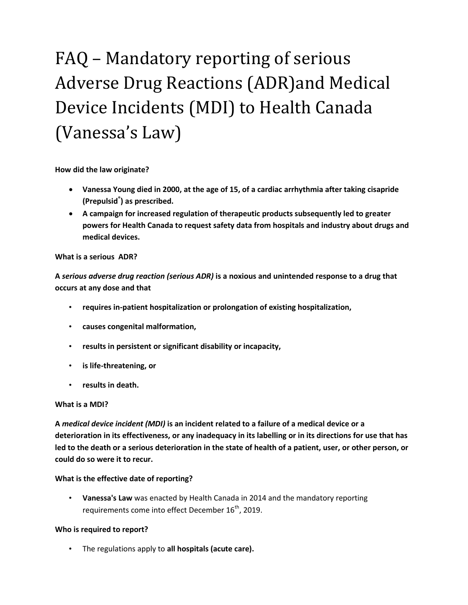# FAQ – Mandatory reporting of serious Adverse Drug Reactions (ADR)and Medical Device Incidents (MDI) to Health Canada (Vanessa's Law)

**How did the law originate?** 

- **Vanessa Young died in 2000, at the age of 15, of a cardiac arrhythmia after taking cisapride (Prepulsid® ) as prescribed.**
- **A campaign for increased regulation of therapeutic products subsequently led to greater powers for Health Canada to request safety data from hospitals and industry about drugs and medical devices.**

## **What is a serious ADR?**

**A** *serious adverse drug reaction (serious ADR)* **is a noxious and unintended response to a drug that occurs at any dose and that**

- **requires in-patient hospitalization or prolongation of existing hospitalization,**
- **causes congenital malformation,**
- **results in persistent or significant disability or incapacity,**
- **is life-threatening, or**
- **results in death.**

## **What is a MDI?**

**A** *medical device incident (MDI)* **is an incident related to a failure of a medical device or a deterioration in its effectiveness, or any inadequacy in its labelling or in its directions for use that has led to the death or a serious deterioration in the state of health of a patient, user, or other person, or could do so were it to recur.**

## **What is the effective date of reporting?**

• **Vanessa's Law** was enacted by Health Canada in 2014 and the mandatory reporting requirements come into effect December  $16<sup>th</sup>$ , 2019.

## **Who is required to report?**

• The regulations apply to **all hospitals (acute care).**